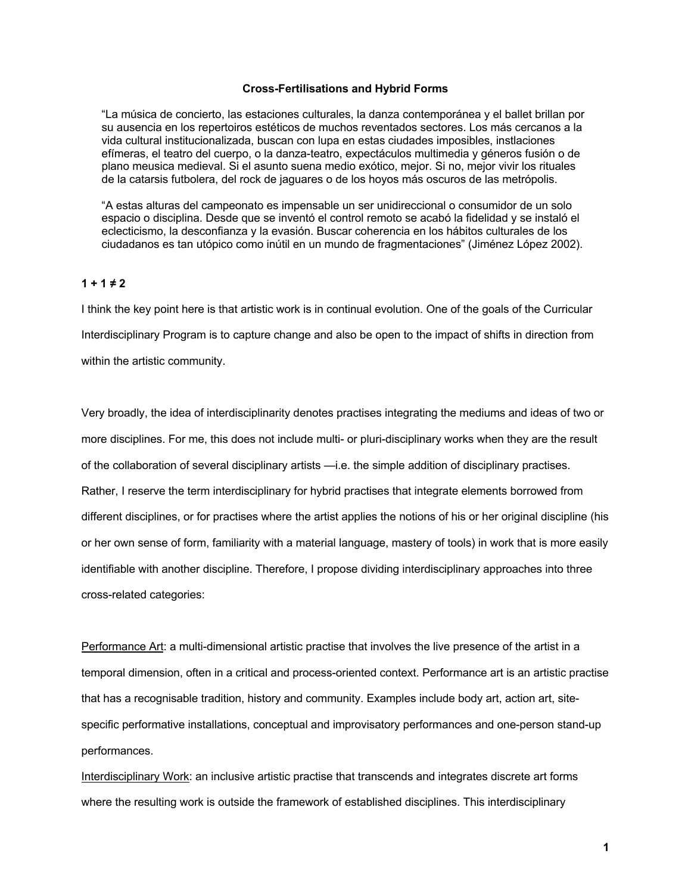### **Cross-Fertilisations and Hybrid Forms**

"La música de concierto, las estaciones culturales, la danza contemporánea y el ballet brillan por su ausencia en los repertoiros estéticos de muchos reventados sectores. Los más cercanos a la vida cultural institucionalizada, buscan con lupa en estas ciudades imposibles, instlaciones efímeras, el teatro del cuerpo, o la danza-teatro, expectáculos multimedia y géneros fusión o de plano meusica medieval. Si el asunto suena medio exótico, mejor. Si no, mejor vivir los rituales de la catarsis futbolera, del rock de jaguares o de los hoyos más oscuros de las metrópolis.

"A estas alturas del campeonato es impensable un ser unidireccional o consumidor de un solo espacio o disciplina. Desde que se inventó el control remoto se acabó la fidelidad y se instaló el eclecticismo, la desconfianza y la evasión. Buscar coherencia en los hábitos culturales de los ciudadanos es tan utópico como inútil en un mundo de fragmentaciones" (Jiménez López 2002).

## $1 + 1 \neq 2$

I think the key point here is that artistic work is in continual evolution. One of the goals of the Curricular Interdisciplinary Program is to capture change and also be open to the impact of shifts in direction from within the artistic community.

Very broadly, the idea of interdisciplinarity denotes practises integrating the mediums and ideas of two or more disciplines. For me, this does not include multi- or pluri-disciplinary works when they are the result of the collaboration of several disciplinary artists —i.e. the simple addition of disciplinary practises. Rather, I reserve the term interdisciplinary for hybrid practises that integrate elements borrowed from different disciplines, or for practises where the artist applies the notions of his or her original discipline (his or her own sense of form, familiarity with a material language, mastery of tools) in work that is more easily identifiable with another discipline. Therefore, I propose dividing interdisciplinary approaches into three cross-related categories:

Performance Art: a multi-dimensional artistic practise that involves the live presence of the artist in a temporal dimension, often in a critical and process-oriented context. Performance art is an artistic practise that has a recognisable tradition, history and community. Examples include body art, action art, sitespecific performative installations, conceptual and improvisatory performances and one-person stand-up performances.

Interdisciplinary Work: an inclusive artistic practise that transcends and integrates discrete art forms where the resulting work is outside the framework of established disciplines. This interdisciplinary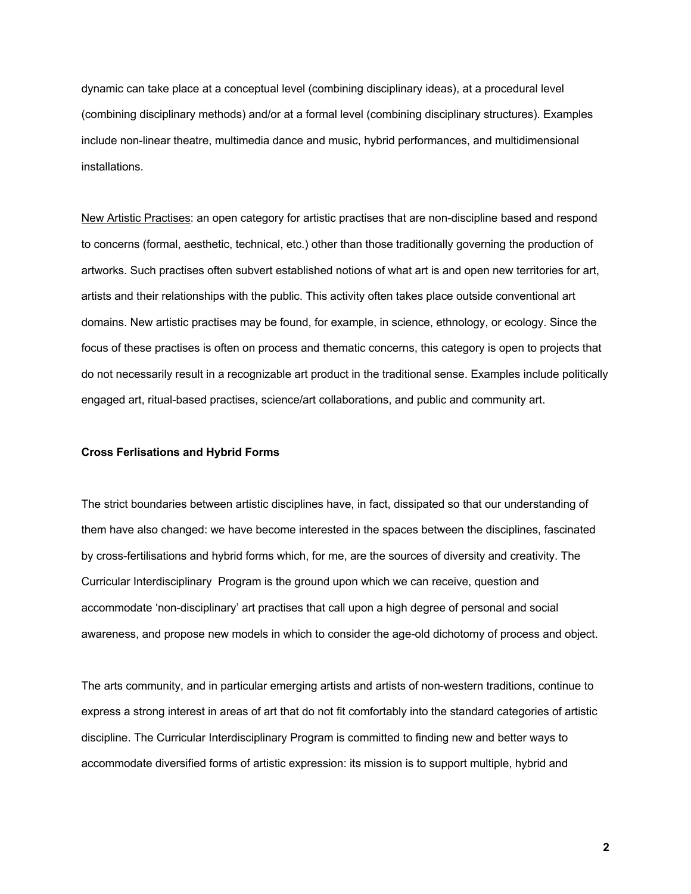dynamic can take place at a conceptual level (combining disciplinary ideas), at a procedural level (combining disciplinary methods) and/or at a formal level (combining disciplinary structures). Examples include non-linear theatre, multimedia dance and music, hybrid performances, and multidimensional installations.

New Artistic Practises: an open category for artistic practises that are non-discipline based and respond to concerns (formal, aesthetic, technical, etc.) other than those traditionally governing the production of artworks. Such practises often subvert established notions of what art is and open new territories for art, artists and their relationships with the public. This activity often takes place outside conventional art domains. New artistic practises may be found, for example, in science, ethnology, or ecology. Since the focus of these practises is often on process and thematic concerns, this category is open to projects that do not necessarily result in a recognizable art product in the traditional sense. Examples include politically engaged art, ritual-based practises, science/art collaborations, and public and community art.

## **Cross Ferlisations and Hybrid Forms**

The strict boundaries between artistic disciplines have, in fact, dissipated so that our understanding of them have also changed: we have become interested in the spaces between the disciplines, fascinated by cross-fertilisations and hybrid forms which, for me, are the sources of diversity and creativity. The Curricular Interdisciplinary Program is the ground upon which we can receive, question and accommodate 'non-disciplinary' art practises that call upon a high degree of personal and social awareness, and propose new models in which to consider the age-old dichotomy of process and object.

The arts community, and in particular emerging artists and artists of non-western traditions, continue to express a strong interest in areas of art that do not fit comfortably into the standard categories of artistic discipline. The Curricular Interdisciplinary Program is committed to finding new and better ways to accommodate diversified forms of artistic expression: its mission is to support multiple, hybrid and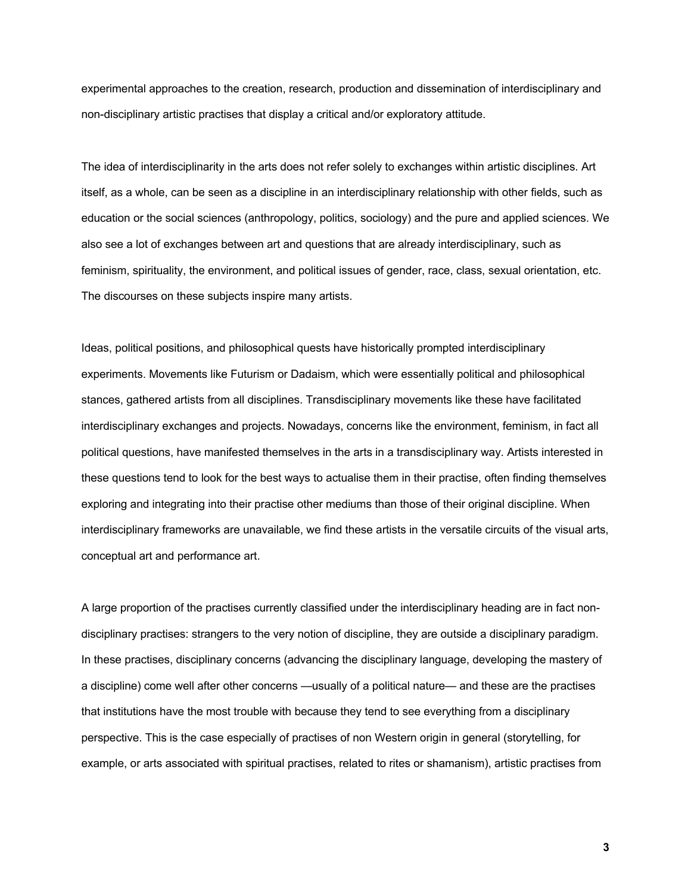experimental approaches to the creation, research, production and dissemination of interdisciplinary and non-disciplinary artistic practises that display a critical and/or exploratory attitude.

The idea of interdisciplinarity in the arts does not refer solely to exchanges within artistic disciplines. Art itself, as a whole, can be seen as a discipline in an interdisciplinary relationship with other fields, such as education or the social sciences (anthropology, politics, sociology) and the pure and applied sciences. We also see a lot of exchanges between art and questions that are already interdisciplinary, such as feminism, spirituality, the environment, and political issues of gender, race, class, sexual orientation, etc. The discourses on these subjects inspire many artists.

Ideas, political positions, and philosophical quests have historically prompted interdisciplinary experiments. Movements like Futurism or Dadaism, which were essentially political and philosophical stances, gathered artists from all disciplines. Transdisciplinary movements like these have facilitated interdisciplinary exchanges and projects. Nowadays, concerns like the environment, feminism, in fact all political questions, have manifested themselves in the arts in a transdisciplinary way. Artists interested in these questions tend to look for the best ways to actualise them in their practise, often finding themselves exploring and integrating into their practise other mediums than those of their original discipline. When interdisciplinary frameworks are unavailable, we find these artists in the versatile circuits of the visual arts, conceptual art and performance art.

A large proportion of the practises currently classified under the interdisciplinary heading are in fact nondisciplinary practises: strangers to the very notion of discipline, they are outside a disciplinary paradigm. In these practises, disciplinary concerns (advancing the disciplinary language, developing the mastery of a discipline) come well after other concerns —usually of a political nature— and these are the practises that institutions have the most trouble with because they tend to see everything from a disciplinary perspective. This is the case especially of practises of non Western origin in general (storytelling, for example, or arts associated with spiritual practises, related to rites or shamanism), artistic practises from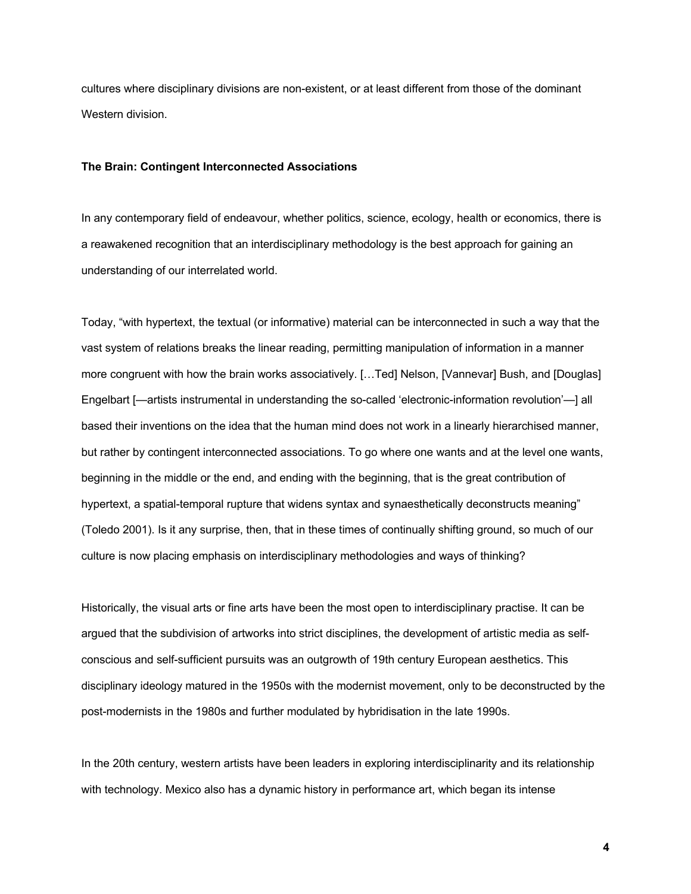cultures where disciplinary divisions are non-existent, or at least different from those of the dominant Western division.

#### **The Brain: Contingent Interconnected Associations**

In any contemporary field of endeavour, whether politics, science, ecology, health or economics, there is a reawakened recognition that an interdisciplinary methodology is the best approach for gaining an understanding of our interrelated world.

Today, "with hypertext, the textual (or informative) material can be interconnected in such a way that the vast system of relations breaks the linear reading, permitting manipulation of information in a manner more congruent with how the brain works associatively. [...Ted] Nelson, [Vannevar] Bush, and [Douglas] Engelbart [—artists instrumental in understanding the so-called 'electronic-information revolution'—] all based their inventions on the idea that the human mind does not work in a linearly hierarchised manner, but rather by contingent interconnected associations. To go where one wants and at the level one wants, beginning in the middle or the end, and ending with the beginning, that is the great contribution of hypertext, a spatial-temporal rupture that widens syntax and synaesthetically deconstructs meaning" (Toledo 2001). Is it any surprise, then, that in these times of continually shifting ground, so much of our culture is now placing emphasis on interdisciplinary methodologies and ways of thinking?

Historically, the visual arts or fine arts have been the most open to interdisciplinary practise. It can be argued that the subdivision of artworks into strict disciplines, the development of artistic media as selfconscious and self-sufficient pursuits was an outgrowth of 19th century European aesthetics. This disciplinary ideology matured in the 1950s with the modernist movement, only to be deconstructed by the post-modernists in the 1980s and further modulated by hybridisation in the late 1990s.

In the 20th century, western artists have been leaders in exploring interdisciplinarity and its relationship with technology. Mexico also has a dynamic history in performance art, which began its intense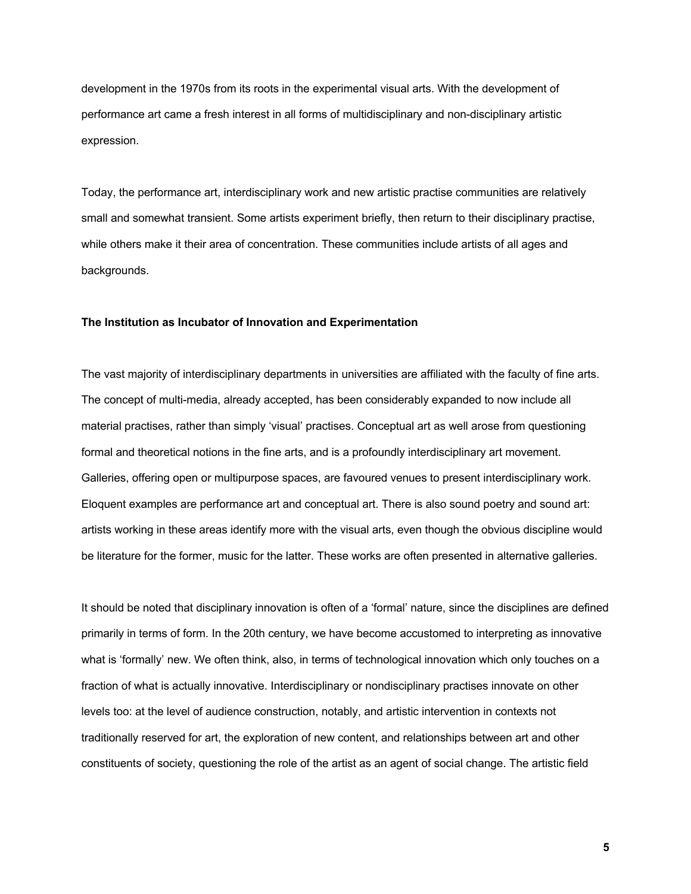development in the 1970s from its roots in the experimental visual arts. With the development of performance art came a fresh interest in all forms of multidisciplinary and non-disciplinary artistic expression.

Today, the performance art, interdisciplinary work and new artistic practise communities are relatively small and somewhat transient. Some artists experiment briefly, then return to their disciplinary practise, while others make it their area of concentration. These communities include artists of all ages and backgrounds.

### **The Institution as Incubator of Innovation and Experimentation**

The vast majority of interdisciplinary departments in universities are affiliated with the faculty of fine arts. The concept of multi-media, already accepted, has been considerably expanded to now include all material practises, rather than simply 'visual' practises. Conceptual art as well arose from questioning formal and theoretical notions in the fine arts, and is a profoundly interdisciplinary art movement. Galleries, offering open or multipurpose spaces, are favoured venues to present interdisciplinary work. Eloquent examples are performance art and conceptual art. There is also sound poetry and sound art: artists working in these areas identify more with the visual arts, even though the obvious discipline would be literature for the former, music for the latter. These works are often presented in alternative galleries.

It should be noted that disciplinary innovation is often of a 'formal' nature, since the disciplines are defined primarily in terms of form. In the 20th century, we have become accustomed to interpreting as innovative what is 'formally' new. We often think, also, in terms of technological innovation which only touches on a fraction of what is actually innovative. Interdisciplinary or nondisciplinary practises innovate on other levels too: at the level of audience construction, notably, and artistic intervention in contexts not traditionally reserved for art, the exploration of new content, and relationships between art and other constituents of society, questioning the role of the artist as an agent of social change. The artistic field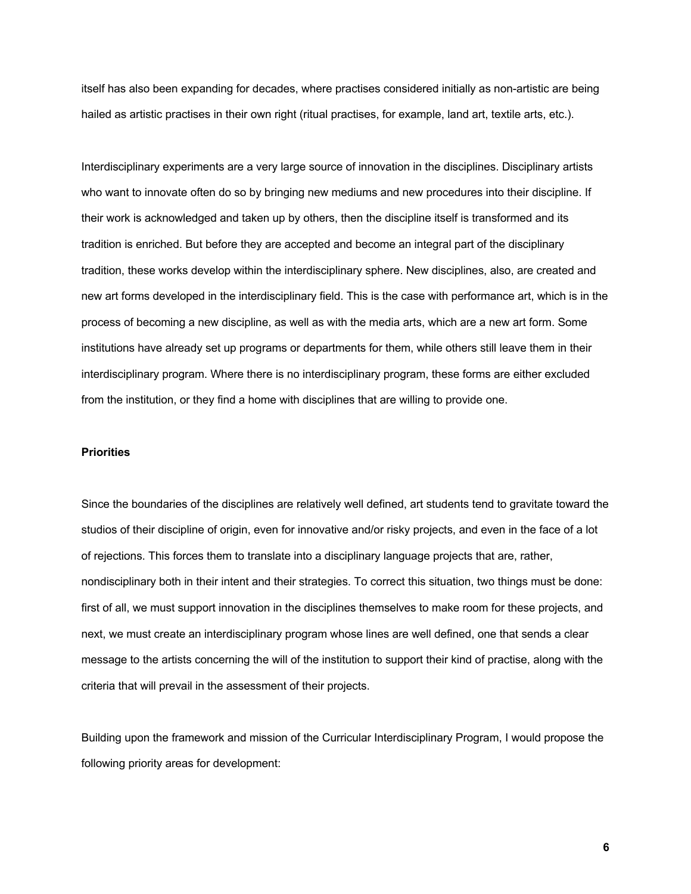itself has also been expanding for decades, where practises considered initially as non-artistic are being hailed as artistic practises in their own right (ritual practises, for example, land art, textile arts, etc.).

Interdisciplinary experiments are a very large source of innovation in the disciplines. Disciplinary artists who want to innovate often do so by bringing new mediums and new procedures into their discipline. If their work is acknowledged and taken up by others, then the discipline itself is transformed and its tradition is enriched. But before they are accepted and become an integral part of the disciplinary tradition, these works develop within the interdisciplinary sphere. New disciplines, also, are created and new art forms developed in the interdisciplinary field. This is the case with performance art, which is in the process of becoming a new discipline, as well as with the media arts, which are a new art form. Some institutions have already set up programs or departments for them, while others still leave them in their interdisciplinary program. Where there is no interdisciplinary program, these forms are either excluded from the institution, or they find a home with disciplines that are willing to provide one.

#### **Priorities**

Since the boundaries of the disciplines are relatively well defined, art students tend to gravitate toward the studios of their discipline of origin, even for innovative and/or risky projects, and even in the face of a lot of rejections. This forces them to translate into a disciplinary language projects that are, rather, nondisciplinary both in their intent and their strategies. To correct this situation, two things must be done: first of all, we must support innovation in the disciplines themselves to make room for these projects, and next, we must create an interdisciplinary program whose lines are well defined, one that sends a clear message to the artists concerning the will of the institution to support their kind of practise, along with the criteria that will prevail in the assessment of their projects.

Building upon the framework and mission of the Curricular Interdisciplinary Program, I would propose the following priority areas for development: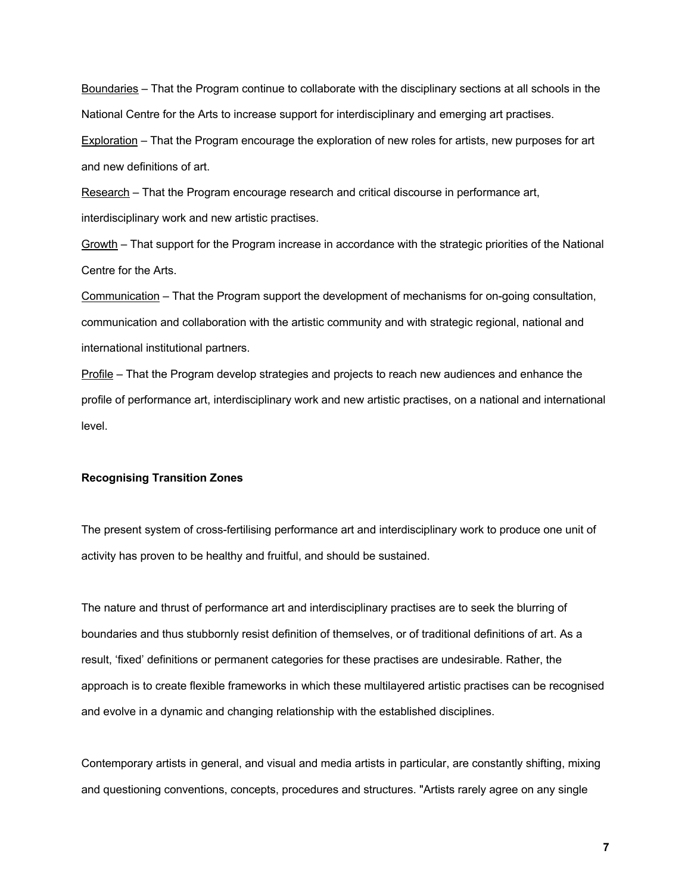Boundaries – That the Program continue to collaborate with the disciplinary sections at all schools in the National Centre for the Arts to increase support for interdisciplinary and emerging art practises.

Exploration – That the Program encourage the exploration of new roles for artists, new purposes for art and new definitions of art.

Research – That the Program encourage research and critical discourse in performance art, interdisciplinary work and new artistic practises.

Growth – That support for the Program increase in accordance with the strategic priorities of the National Centre for the Arts.

Communication – That the Program support the development of mechanisms for on-going consultation, communication and collaboration with the artistic community and with strategic regional, national and international institutional partners.

Profile – That the Program develop strategies and projects to reach new audiences and enhance the profile of performance art, interdisciplinary work and new artistic practises, on a national and international level.

# **Recognising Transition Zones**

The present system of cross-fertilising performance art and interdisciplinary work to produce one unit of activity has proven to be healthy and fruitful, and should be sustained.

The nature and thrust of performance art and interdisciplinary practises are to seek the blurring of boundaries and thus stubbornly resist definition of themselves, or of traditional definitions of art. As a result, 'fixed' definitions or permanent categories for these practises are undesirable. Rather, the approach is to create flexible frameworks in which these multilayered artistic practises can be recognised and evolve in a dynamic and changing relationship with the established disciplines.

Contemporary artists in general, and visual and media artists in particular, are constantly shifting, mixing and questioning conventions, concepts, procedures and structures. "Artists rarely agree on any single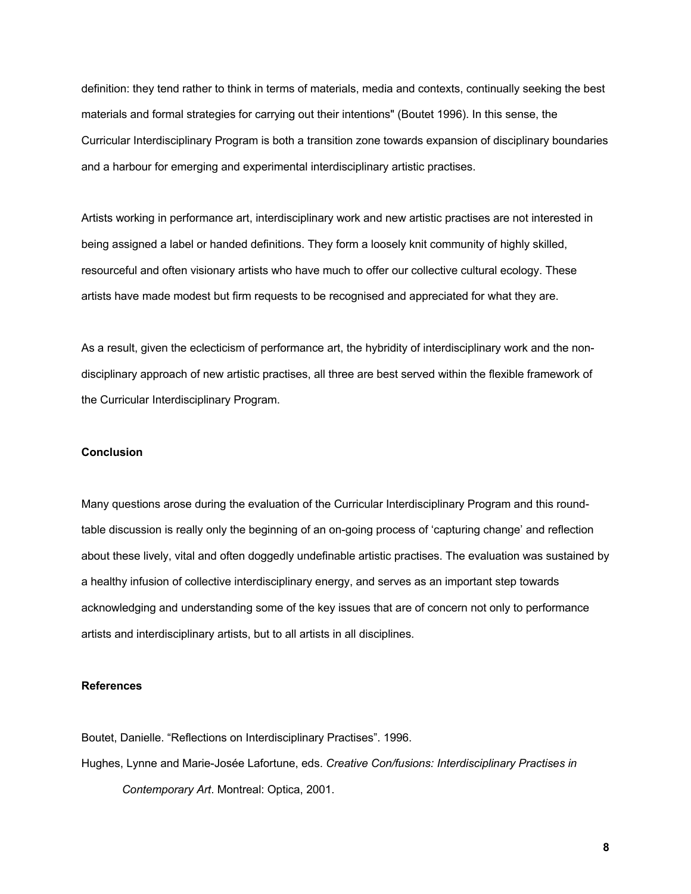definition: they tend rather to think in terms of materials, media and contexts, continually seeking the best materials and formal strategies for carrying out their intentions" (Boutet 1996). In this sense, the Curricular Interdisciplinary Program is both a transition zone towards expansion of disciplinary boundaries and a harbour for emerging and experimental interdisciplinary artistic practises.

Artists working in performance art, interdisciplinary work and new artistic practises are not interested in being assigned a label or handed definitions. They form a loosely knit community of highly skilled, resourceful and often visionary artists who have much to offer our collective cultural ecology. These artists have made modest but firm requests to be recognised and appreciated for what they are.

As a result, given the eclecticism of performance art, the hybridity of interdisciplinary work and the nondisciplinary approach of new artistic practises, all three are best served within the flexible framework of the Curricular Interdisciplinary Program.

## **Conclusion**

Many questions arose during the evaluation of the Curricular Interdisciplinary Program and this roundtable discussion is really only the beginning of an on-going process of 'capturing change' and reflection about these lively, vital and often doggedly undefinable artistic practises. The evaluation was sustained by a healthy infusion of collective interdisciplinary energy, and serves as an important step towards acknowledging and understanding some of the key issues that are of concern not only to performance artists and interdisciplinary artists, but to all artists in all disciplines.

## **References**

Boutet, Danielle. "Reflections on Interdisciplinary Practises". 1996.

Hughes, Lynne and Marie-Josée Lafortune, eds. *Creative Con/fusions: Interdisciplinary Practises in Contemporary Art*. Montreal: Optica, 2001.